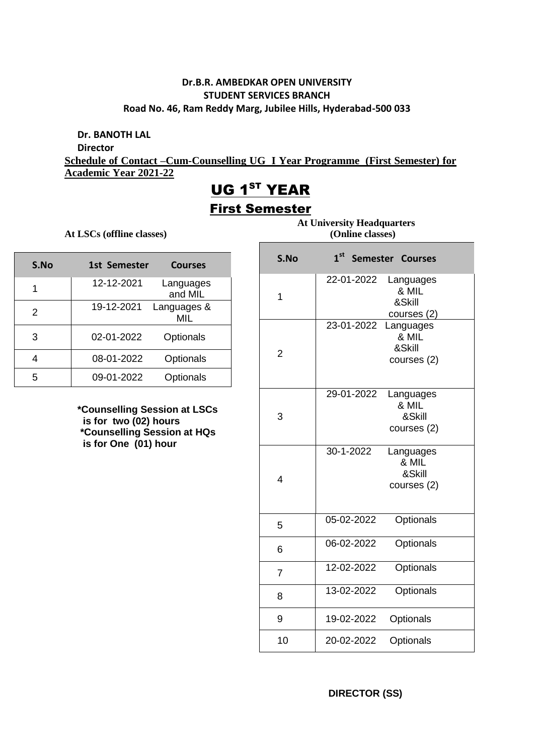### **Dr.B.R. AMBEDKAR OPEN UNIVERSITY STUDENT SERVICES BRANCH Road No. 46, Ram Reddy Marg, Jubilee Hills, Hyderabad-500 033**

**Dr. BANOTH LAL**

**Director**

**Schedule of Contact –Cum-Counselling UG I Year Programme (First Semester) for Academic Year 2021-22**

# UG 1<sup>ST</sup> YEAR

### First Semester

Е

At LSCs (offline classes)

| S.No | 1st Semester | <b>Courses</b>       |
|------|--------------|----------------------|
| 1    | 12-12-2021   | Languages<br>and MIL |
| 2    | 19-12-2021   | Languages &<br>MIL   |
| 3    | 02-01-2022   | Optionals            |
| 4    | 08-01-2022   | Optionals            |
| 5    | 09-01-2022   | Optionals            |

**\*Counselling Session at LSCs is for two (02) hours \*Counselling Session at HQs is for One (01) hour** 

 **At University Headquarters**

| S.No           | 1 <sup>st</sup><br>Semester Courses                       |
|----------------|-----------------------------------------------------------|
| 1              | 22-01-2022<br>Languages<br>& MIL<br>&Skill<br>courses (2) |
| 2              | 23-01-2022<br>Languages<br>& MIL<br>&Skill<br>courses (2) |
| 3              | 29-01-2022<br>Languages<br>& MIL<br>&Skill<br>courses (2) |
| 4              | 30-1-2022<br>Languages<br>& MIL<br>&Skill<br>courses (2)  |
| 5              | Optionals<br>05-02-2022                                   |
| 6              | Optionals<br>06-02-2022                                   |
| $\overline{7}$ | Optionals<br>12-02-2022                                   |
| 8              | 13-02-2022<br>Optionals                                   |
| 9              | Optionals<br>19-02-2022                                   |
| 10             | 20-02-2022<br>Optionals                                   |

**DIRECTOR (SS)**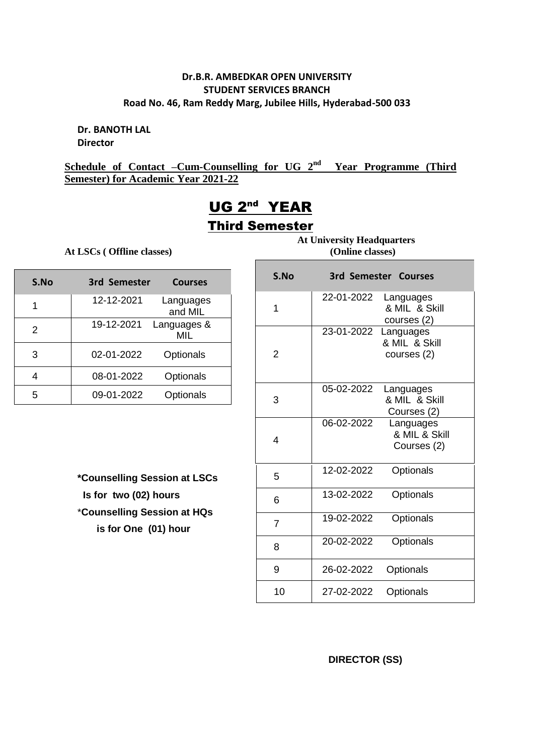### **Dr.B.R. AMBEDKAR OPEN UNIVERSITY STUDENT SERVICES BRANCH Road No. 46, Ram Reddy Marg, Jubilee Hills, Hyderabad-500 033**

**Dr. BANOTH LAL Director**

**Schedule of Contact –Cum-Counselling for UG 2 nd Year Programme (Third Semester) for Academic Year 2021-22**

## UG 2<sup>nd</sup> YEAR Third Semester

**At LSCs ( Offline classes) (Online classes)**

| S.No | 3rd Semester | <b>Courses</b>       |
|------|--------------|----------------------|
|      | 12-12-2021   | Languages<br>and MIL |
| 2    | 19-12-2021   | Languages &<br>MIL   |
| 3    | 02-01-2022   | Optionals            |
|      | 08-01-2022   | Optionals            |
| 5    | 09-01-2022   | Optionals            |

**\*Counselling Session at LSCs Is for two (02) hours** \***Counselling Session at HQs is for One (01) hour** 

 **At University Headquarters**

| S.No |            | 3rd Semester Courses                      |
|------|------------|-------------------------------------------|
| 1    | 22-01-2022 | Languages<br>& MIL & Skill<br>courses (2) |
| 2    | 23-01-2022 | Languages<br>& MIL & Skill<br>courses (2) |
| 3    | 05-02-2022 | Languages<br>& MIL & Skill<br>Courses (2) |
| 4    | 06-02-2022 | Languages<br>& MIL & Skill<br>Courses (2) |
| 5    | 12-02-2022 | Optionals                                 |
| 6    | 13-02-2022 | Optionals                                 |
| 7    | 19-02-2022 | Optionals                                 |
| 8    | 20-02-2022 | Optionals                                 |
| 9    | 26-02-2022 | Optionals                                 |
| 10   | 27-02-2022 | Optionals                                 |

 **DIRECTOR (SS)**